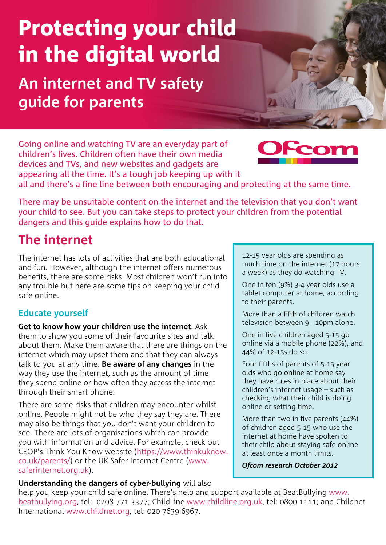# Protecting your child in the digital world

**An internet and TV safety guide for parents**

Going online and watching TV are an everyday part of children's lives. Children often have their own media devices and TVs, and new websites and gadgets are appearing all the time. It's a tough job keeping up with it

all and there's a fine line between both encouraging and protecting at the same time.

There may be unsuitable content on the internet and the television that you don't want your child to see. But you can take steps to protect your children from the potential dangers and this guide explains how to do that.

## **The internet**

The internet has lots of activities that are both educational and fun. However, although the internet offers numerous benefits, there are some risks. Most children won't run into any trouble but here are some tips on keeping your child safe online.

#### **Educate yourself**

**Get to know how your children use the internet**. Ask them to show you some of their favourite sites and talk about them. Make them aware that there are things on the internet which may upset them and that they can always talk to you at any time. **Be aware of any changes** in the way they use the internet, such as the amount of time they spend online or how often they access the internet through their smart phone.

There are some risks that children may encounter whilst online. People might not be who they say they are. There may also be things that you don't want your children to see. There are lots of organisations which can provide you with information and advice. For example, check out CEOP's Think You Know website ([https://www.thinkuknow.](https://www.thinkuknow.co.uk/parents) [co.uk/parents/](https://www.thinkuknow.co.uk/parents)) or the UK Safer Internet Centre ([www.](www.saferinternet.org.uk) [saferinternet.org.uk](www.saferinternet.org.uk)).

12-15 year olds are spending as much time on the internet (17 hours a week) as they do watching TV.

One in ten (9%) 3-4 year olds use a tablet computer at home, according to their parents.

More than a fifth of children watch television between 9 - 10pm alone.

One in five children aged 5-15 go online via a mobile phone (22%), and 44% of 12-15s do so

Four fifths of parents of 5-15 year olds who go online at home say they have rules in place about their children's internet usage – such as checking what their child is doing online or setting time.

More than two in five parents (44%) of children aged 5-15 who use the internet at home have spoken to their child about staying safe online at least once a month limits.

*Ofcom research October 2012*

#### **Understanding the dangers of cyber-bullying** will also

help you keep your child safe online. There's help and support available at BeatBullying [www.](http://www.beatbullying.org) [beatbullying.org](http://www.beatbullying.org), tel: 0208 771 3377; ChildLine [www.childline.org.uk,](www.childline.org.uk) tel: 0800 1111; and Childnet International [www.childnet.org,](www.childnet.org) tel: 020 7639 6967.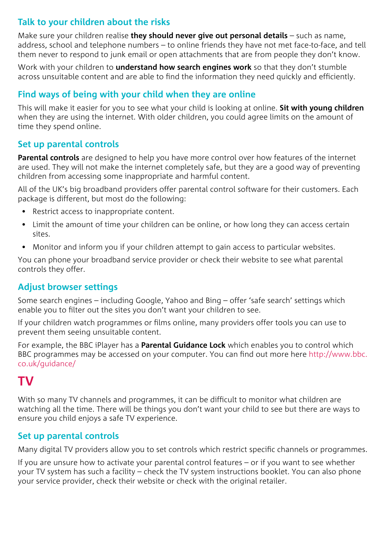#### **Talk to your children about the risks**

Make sure your children realise **they should never give out personal details** – such as name, address, school and telephone numbers – to online friends they have not met face-to-face, and tell them never to respond to junk email or open attachments that are from people they don't know.

Work with your children to **understand how search engines work** so that they don't stumble across unsuitable content and are able to find the information they need quickly and efficiently.

#### **Find ways of being with your child when they are online**

This will make it easier for you to see what your child is looking at online. **Sit with young children** when they are using the internet. With older children, you could agree limits on the amount of time they spend online.

#### **Set up parental controls**

**Parental controls** are designed to help you have more control over how features of the internet are used. They will not make the internet completely safe, but they are a good way of preventing children from accessing some inappropriate and harmful content.

All of the UK's big broadband providers offer parental control software for their customers. Each package is different, but most do the following:

- Restrict access to inappropriate content.
- Limit the amount of time your children can be online, or how long they can access certain sites.
- Monitor and inform you if your children attempt to gain access to particular websites.

You can phone your broadband service provider or check their website to see what parental controls they offer.

#### **Adjust browser settings**

Some search engines – including Google, Yahoo and Bing – offer 'safe search' settings which enable you to filter out the sites you don't want your children to see.

If your children watch programmes or films online, many providers offer tools you can use to prevent them seeing unsuitable content.

For example, the BBC iPlayer has a **Parental Guidance Lock** which enables you to control which BBC programmes may be accessed on your computer. You can find out more here [http://www.bbc.](http://www.bbc.co.uk/guidance) [co.uk/guidance/](http://www.bbc.co.uk/guidance)

### **TV**

With so many TV channels and programmes, it can be difficult to monitor what children are watching all the time. There will be things you don't want your child to see but there are ways to ensure you child enjoys a safe TV experience.

#### **Set up parental controls**

Many digital TV providers allow you to set controls which restrict specific channels or programmes.

If you are unsure how to activate your parental control features – or if you want to see whether your TV system has such a facility – check the TV system instructions booklet. You can also phone your service provider, check their website or check with the original retailer.